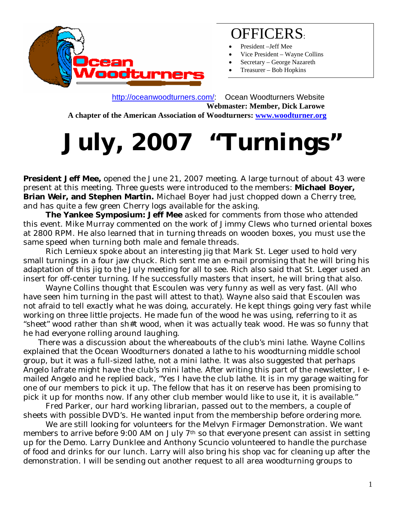

### OFFICERS:

- President –Jeff Mee
- Vice President Wayne Collins
- Secretary George Nazareth
- Treasurer Bob Hopkins

 <http://oceanwoodturners.com/>: Ocean Woodturners Website **Webmaster: Member, Dick Larowe A chapter of the American Association of Woodturners: [www.woodturner.org](http://www.woodturner.org/)** 

# **July, 2007 "Turnings"**

**President Jeff Mee,** opened the June 21, 2007 meeting. A large turnout of about 43 were present at this meeting. Three guests were introduced to the members: **Michael Boyer, Brian Weir, and Stephen Martin.** Michael Boyer had just chopped down a Cherry tree, and has quite a few green Cherry logs available for the asking.

 **The Yankee Symposium: Jeff Mee** asked for comments from those who attended this event. Mike Murray commented on the work of Jimmy Clews who turned oriental boxes at 2800 RPM. He also learned that in turning threads on wooden boxes, you must use the same speed when turning both male and female threads.

 Rich Lemieux spoke about an interesting jig that Mark St. Leger used to hold very small turnings in a four jaw chuck. Rich sent me an e-mail promising that he will bring his adaptation of this jig to the July meeting for all to see. Rich also said that St. Leger used an insert for off-center turning. If he successfully masters that insert, he will bring that also.

 Wayne Collins thought that Escoulen was very funny as well as very fast. (All who have seen him turning in the past will attest to that). Wayne also said that Escoulen was not afraid to tell exactly what he was doing, accurately. He kept things going very fast while working on three little projects. He made fun of the wood he was using, referring to it as "sheet" wood rather than sh#t wood, when it was actually teak wood. He was so funny that he had everyone rolling around laughing.

 There was a discussion about the whereabouts of the club's mini lathe. Wayne Collins explained that the Ocean Woodturners donated a lathe to his woodturning middle school group, but it was a full-sized lathe, not a mini lathe. It was also suggested that perhaps Angelo Iafrate might have the club's mini lathe. After writing this part of the newsletter, I emailed Angelo and he replied back, "Yes I have the club lathe. It is in my garage waiting for one of our members to pick it up. The fellow that has it on reserve has been promising to pick it up for months now. If any other club member would like to use it, it is available."

 Fred Parker, our hard working librarian, passed out to the members, a couple of sheets with possible DVD's. He wanted input from the membership before ordering more.

 We are still looking for volunteers for the Melvyn Firmager Demonstration. We want members to arrive before 9:00 AM on July 7<sup>th</sup> so that everyone present can assist in setting up for the Demo. Larry Dunklee and Anthony Scuncio volunteered to handle the purchase of food and drinks for our lunch. Larry will also bring his shop vac for cleaning up after the demonstration. I will be sending out another request to all area woodturning groups to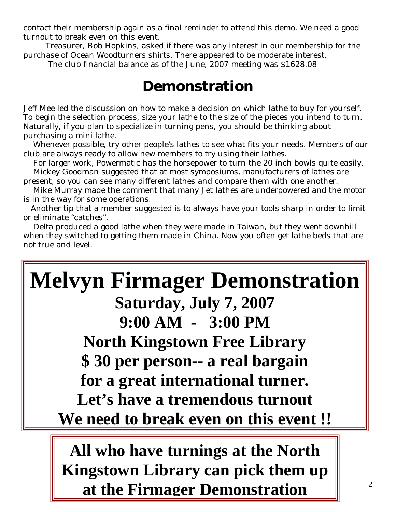contact their membership again as a final reminder to attend this demo. We need a good turnout to break even on this event.

 Treasurer, Bob Hopkins, asked if there was any interest in our membership for the purchase of Ocean Woodturners shirts. There appeared to be moderate interest.

The club financial balance as of the June, 2007 meeting was \$1628.08

#### **Demonstration**

Jeff Mee led the discussion on how to make a decision on which lathe to buy for yourself. To begin the selection process, size your lathe to the size of the pieces you intend to turn. Naturally, if you plan to specialize in turning pens, you should be thinking about purchasing a mini lathe.

 Whenever possible, try other people's lathes to see what fits your needs. Members of our club are always ready to allow new members to try using their lathes.

For larger work, Powermatic has the horsepower to turn the 20 inch bowls quite easily.

 Mickey Goodman suggested that at most symposiums, manufacturers of lathes are present, so you can see many different lathes and compare them with one another.

 Mike Murray made the comment that many Jet lathes are underpowered and the motor is in the way for some operations.

 Another tip that a member suggested is to always have your tools sharp in order to limit or eliminate "catches".

 Delta produced a good lathe when they were made in Taiwan, but they went downhill when they switched to getting them made in China. Now you often get lathe beds that are not true and level.

## **Melvyn Firmager Demonstration Saturday, July 7, 2007 9:00 AM - 3:00 PM North Kingstown Free Library \$ 30 per person-- a real bargain for a great international turner. Let's have a tremendous turnout We need to break even on this event !!**

**All who have turnings at the North Kingstown Library can pick them up at the Firmager Demonstration**